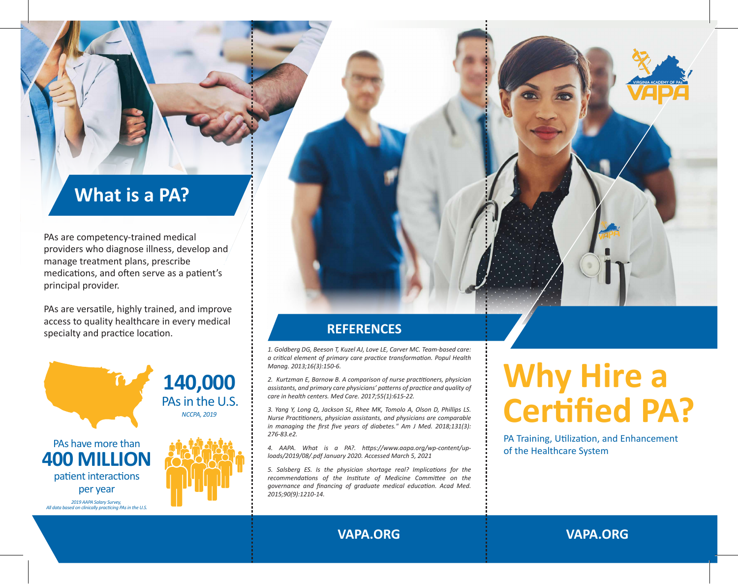### **What is a PA?**

PAs are competency-trained medical providers who diagnose illness, develop and manage treatment plans, prescribe medications, and often serve as a patient's principal provider.

PAs are versatile, highly trained, and improve access to quality healthcare in every medical specialty and practice location.



*1. Goldberg DG, Beeson T, Kuzel AJ, Love LE, Carver MC. Team-based care: a critical element of primary care practice transformation. Popul Health Manag. 2013;16(3):150-6.*

*2. Kurtzman E, Barnow B. A comparison of nurse practitioners, physician assistants, and primary care physicians' patterns of practice and quality of care in health centers. Med Care. 2017;55(1):615-22.*

**REFERENCES**

*3. Yang Y, Long Q, Jackson SL, Rhee MK, Tomolo A, Olson D, Phillips LS. Nurse Practitioners, physician assistants, and physicians are comparable in managing the first five years of diabetes." Am J Med. 2018;131(3): 276-83.e2.*

*4. AAPA. What is a PA?. https://www.aapa.org/wp-content/uploads/2019/08/.pdf January 2020. Accessed March 5, 2021*

*5. Salsberg ES. Is the physician shortage real? Implications for the recommendations of the Institute of Medicine Committee on the governance and financing of graduate medical education. Acad Med. 2015;90(9):1210-14.*

## **Why Hire a Certified PA?**

PA Training, Utilization, and Enhancement of the Healthcare System

**VAPA.ORG VAPA.ORG**